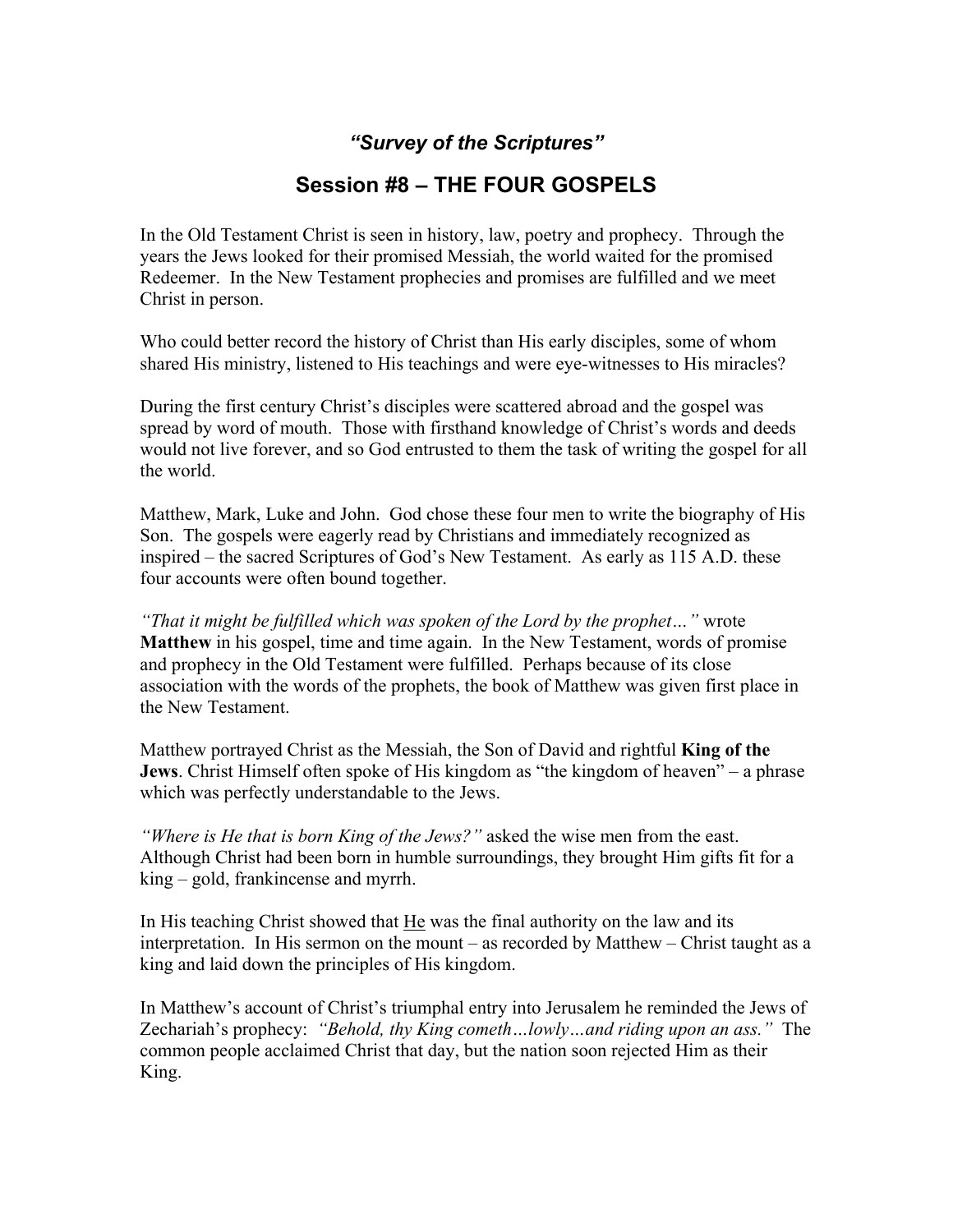## *"Survey of the Scriptures"*

## **Session #8 – THE FOUR GOSPELS**

In the Old Testament Christ is seen in history, law, poetry and prophecy. Through the years the Jews looked for their promised Messiah, the world waited for the promised Redeemer. In the New Testament prophecies and promises are fulfilled and we meet Christ in person.

Who could better record the history of Christ than His early disciples, some of whom shared His ministry, listened to His teachings and were eye-witnesses to His miracles?

During the first century Christ's disciples were scattered abroad and the gospel was spread by word of mouth. Those with firsthand knowledge of Christ's words and deeds would not live forever, and so God entrusted to them the task of writing the gospel for all the world.

Matthew, Mark, Luke and John. God chose these four men to write the biography of His Son. The gospels were eagerly read by Christians and immediately recognized as inspired – the sacred Scriptures of God's New Testament. As early as 115 A.D. these four accounts were often bound together.

*"That it might be fulfilled which was spoken of the Lord by the prophet…"* wrote **Matthew** in his gospel, time and time again. In the New Testament, words of promise and prophecy in the Old Testament were fulfilled. Perhaps because of its close association with the words of the prophets, the book of Matthew was given first place in the New Testament.

Matthew portrayed Christ as the Messiah, the Son of David and rightful **King of the Jews**. Christ Himself often spoke of His kingdom as "the kingdom of heaven" – a phrase which was perfectly understandable to the Jews.

*"Where is He that is born King of the Jews?"* asked the wise men from the east. Although Christ had been born in humble surroundings, they brought Him gifts fit for a king – gold, frankincense and myrrh.

In His teaching Christ showed that He was the final authority on the law and its interpretation. In His sermon on the mount – as recorded by Matthew – Christ taught as a king and laid down the principles of His kingdom.

In Matthew's account of Christ's triumphal entry into Jerusalem he reminded the Jews of Zechariah's prophecy: *"Behold, thy King cometh…lowly…and riding upon an ass."* The common people acclaimed Christ that day, but the nation soon rejected Him as their King.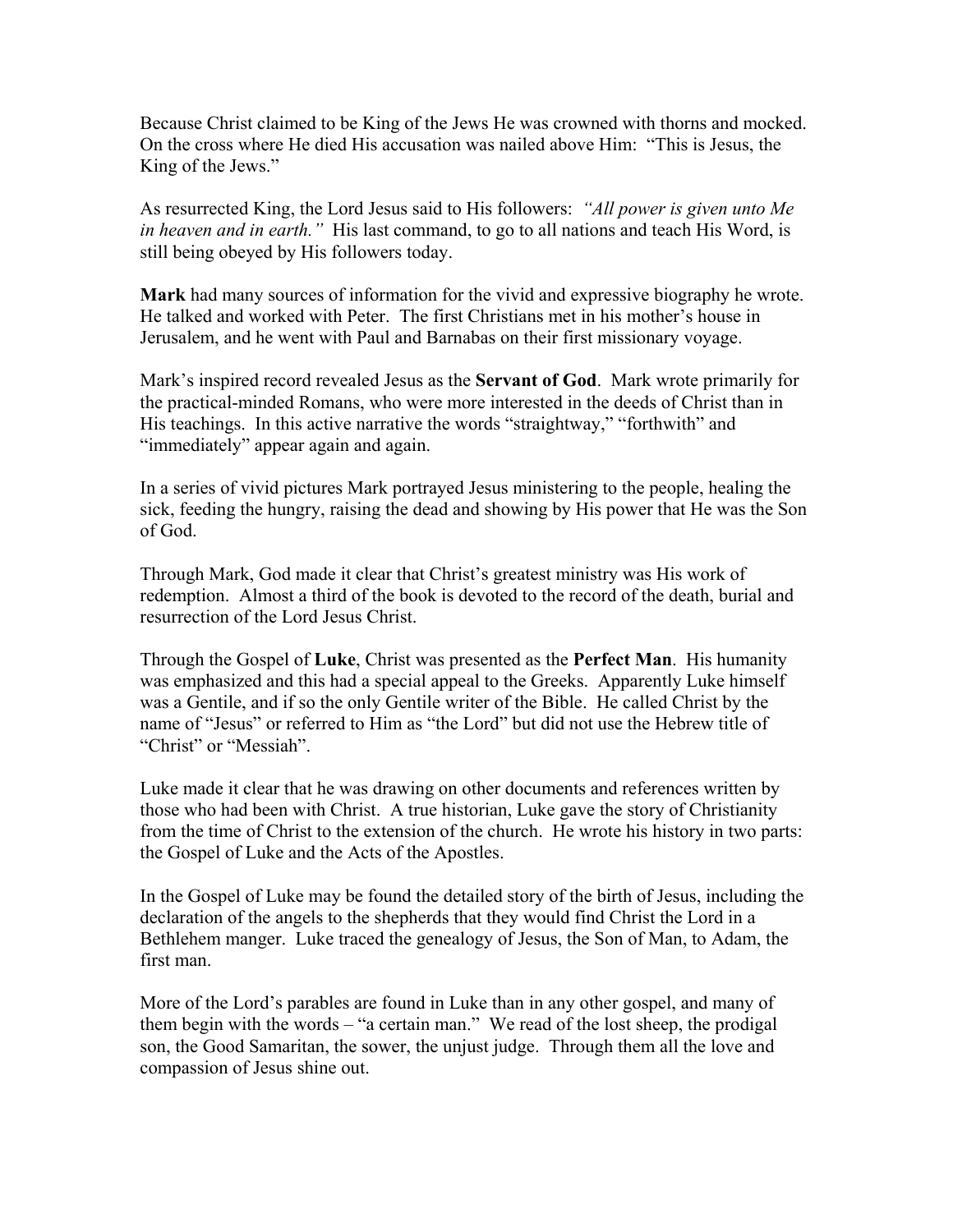Because Christ claimed to be King of the Jews He was crowned with thorns and mocked. On the cross where He died His accusation was nailed above Him: "This is Jesus, the King of the Jews."

As resurrected King, the Lord Jesus said to His followers: *"All power is given unto Me in heaven and in earth."* His last command, to go to all nations and teach His Word, is still being obeyed by His followers today.

**Mark** had many sources of information for the vivid and expressive biography he wrote. He talked and worked with Peter. The first Christians met in his mother's house in Jerusalem, and he went with Paul and Barnabas on their first missionary voyage.

Mark's inspired record revealed Jesus as the **Servant of God**. Mark wrote primarily for the practical-minded Romans, who were more interested in the deeds of Christ than in His teachings. In this active narrative the words "straightway," "forthwith" and "immediately" appear again and again.

In a series of vivid pictures Mark portrayed Jesus ministering to the people, healing the sick, feeding the hungry, raising the dead and showing by His power that He was the Son of God.

Through Mark, God made it clear that Christ's greatest ministry was His work of redemption. Almost a third of the book is devoted to the record of the death, burial and resurrection of the Lord Jesus Christ.

Through the Gospel of **Luke**, Christ was presented as the **Perfect Man**. His humanity was emphasized and this had a special appeal to the Greeks. Apparently Luke himself was a Gentile, and if so the only Gentile writer of the Bible. He called Christ by the name of "Jesus" or referred to Him as "the Lord" but did not use the Hebrew title of "Christ" or "Messiah".

Luke made it clear that he was drawing on other documents and references written by those who had been with Christ. A true historian, Luke gave the story of Christianity from the time of Christ to the extension of the church. He wrote his history in two parts: the Gospel of Luke and the Acts of the Apostles.

In the Gospel of Luke may be found the detailed story of the birth of Jesus, including the declaration of the angels to the shepherds that they would find Christ the Lord in a Bethlehem manger. Luke traced the genealogy of Jesus, the Son of Man, to Adam, the first man.

More of the Lord's parables are found in Luke than in any other gospel, and many of them begin with the words – "a certain man." We read of the lost sheep, the prodigal son, the Good Samaritan, the sower, the unjust judge. Through them all the love and compassion of Jesus shine out.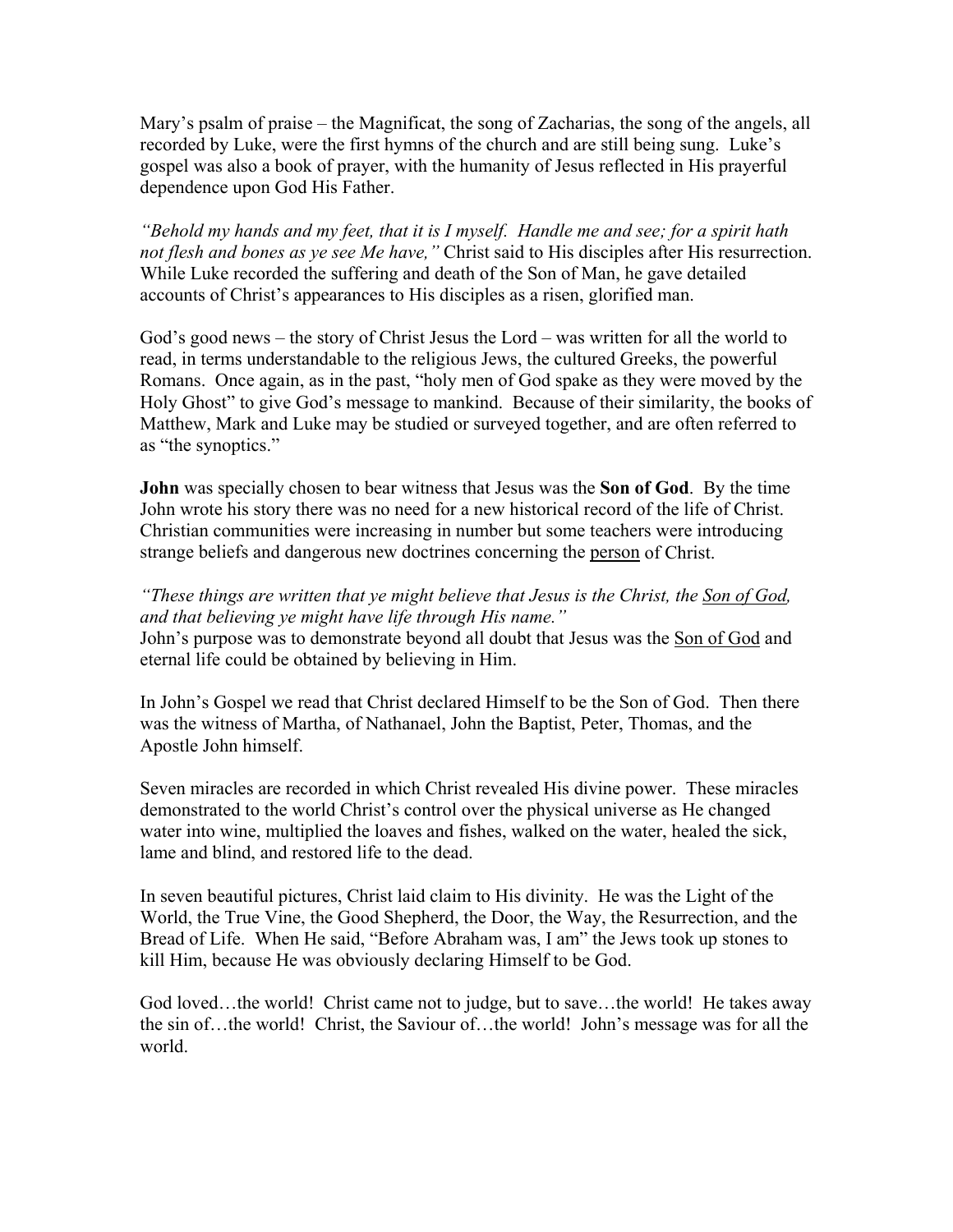Mary's psalm of praise – the Magnificat, the song of Zacharias, the song of the angels, all recorded by Luke, were the first hymns of the church and are still being sung. Luke's gospel was also a book of prayer, with the humanity of Jesus reflected in His prayerful dependence upon God His Father.

*"Behold my hands and my feet, that it is I myself. Handle me and see; for a spirit hath not flesh and bones as ye see Me have,"* Christ said to His disciples after His resurrection. While Luke recorded the suffering and death of the Son of Man, he gave detailed accounts of Christ's appearances to His disciples as a risen, glorified man.

God's good news – the story of Christ Jesus the Lord – was written for all the world to read, in terms understandable to the religious Jews, the cultured Greeks, the powerful Romans. Once again, as in the past, "holy men of God spake as they were moved by the Holy Ghost" to give God's message to mankind. Because of their similarity, the books of Matthew, Mark and Luke may be studied or surveyed together, and are often referred to as "the synoptics."

**John** was specially chosen to bear witness that Jesus was the **Son of God**. By the time John wrote his story there was no need for a new historical record of the life of Christ. Christian communities were increasing in number but some teachers were introducing strange beliefs and dangerous new doctrines concerning the person of Christ.

*"These things are written that ye might believe that Jesus is the Christ, the Son of God, and that believing ye might have life through His name."*  John's purpose was to demonstrate beyond all doubt that Jesus was the Son of God and eternal life could be obtained by believing in Him.

In John's Gospel we read that Christ declared Himself to be the Son of God. Then there was the witness of Martha, of Nathanael, John the Baptist, Peter, Thomas, and the Apostle John himself.

Seven miracles are recorded in which Christ revealed His divine power. These miracles demonstrated to the world Christ's control over the physical universe as He changed water into wine, multiplied the loaves and fishes, walked on the water, healed the sick, lame and blind, and restored life to the dead.

In seven beautiful pictures, Christ laid claim to His divinity. He was the Light of the World, the True Vine, the Good Shepherd, the Door, the Way, the Resurrection, and the Bread of Life. When He said, "Before Abraham was, I am" the Jews took up stones to kill Him, because He was obviously declaring Himself to be God.

God loved…the world! Christ came not to judge, but to save…the world! He takes away the sin of…the world! Christ, the Saviour of…the world! John's message was for all the world.